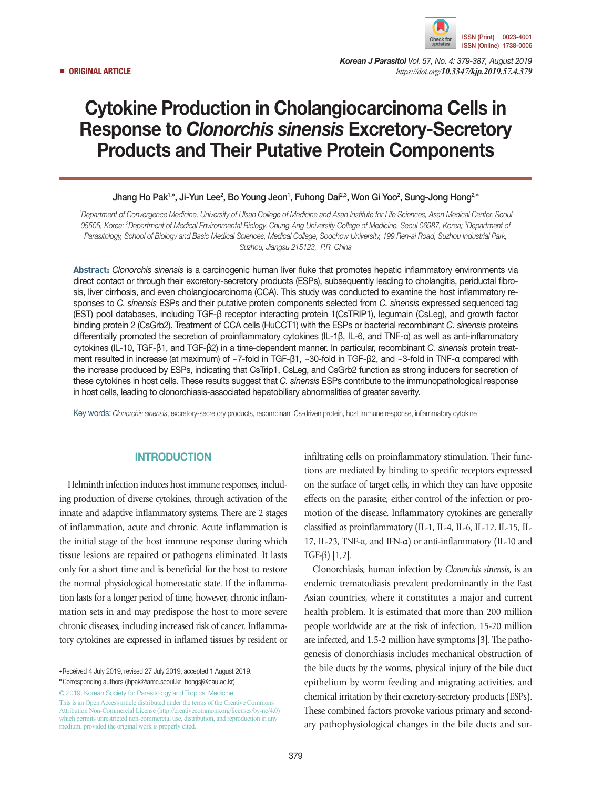

*Korean J Parasitol Vol. 57, No. 4: 379-387, August 2019* ▣ **ORIGINAL ARTICLE** *https://doi.org/10.3347/kjp.2019.57.4.379*

# Cytokine Production in Cholangiocarcinoma Cells in Response to *Clonorchis sinensis* Excretory-Secretory Products and Their Putative Protein Components

# Jhang Ho Pak<sup>1,</sup>\*, Ji-Yun Lee<sup>2</sup>, Bo Young Jeon<sup>1</sup>, Fuhong Dai<sup>2,3</sup>, Won Gi Yoo<sup>2</sup>, Sung-Jong Hong<sup>2,</sup>\*

*1 Department of Convergence Medicine, University of Ulsan College of Medicine and Asan Institute for Life Sciences, Asan Medical Center, Seoul 05505, Korea; 2 Department of Medical Environmental Biology, Chung-Ang University College of Medicine, Seoul 06987, Korea; 3 Department of Parasitology, School of Biology and Basic Medical Sciences, Medical College, Soochow University, 199 Ren-ai Road, Suzhou Industrial Park, Suzhou, Jiangsu 215123, P.R. China*

**Abstract:** *Clonorchis sinensis* is a carcinogenic human liver fluke that promotes hepatic inflammatory environments via direct contact or through their excretory-secretory products (ESPs), subsequently leading to cholangitis, periductal fibrosis, liver cirrhosis, and even cholangiocarcinoma (CCA). This study was conducted to examine the host inflammatory responses to *C. sinensis* ESPs and their putative protein components selected from *C. sinensis* expressed sequenced tag (EST) pool databases, including TGF-β receptor interacting protein 1(CsTRIP1), legumain (CsLeg), and growth factor binding protein 2 (CsGrb2). Treatment of CCA cells (HuCCT1) with the ESPs or bacterial recombinant *C. sinensis* proteins differentially promoted the secretion of proinflammatory cytokines (IL-1β, IL-6, and TNF-α) as well as anti-inflammatory cytokines (IL-10, TGF-β1, and TGF-β2) in a time-dependent manner. In particular, recombinant *C. sinensis* protein treatment resulted in increase (at maximum) of ~7-fold in TGF-β1, ~30-fold in TGF-β2, and ~3-fold in TNF-α compared with the increase produced by ESPs, indicating that CsTrip1, CsLeg, and CsGrb2 function as strong inducers for secretion of these cytokines in host cells. These results suggest that *C. sinensis* ESPs contribute to the immunopathological response in host cells, leading to clonorchiasis-associated hepatobiliary abnormalities of greater severity.

Key words: *Clonorchis sinensis*, excretory-secretory products, recombinant Cs-driven protein, host immune response, inflammatory cytokine

## **INTRODUCTION**

Helminth infection induces host immune responses, including production of diverse cytokines, through activation of the innate and adaptive inflammatory systems. There are 2 stages of inflammation, acute and chronic. Acute inflammation is the initial stage of the host immune response during which tissue lesions are repaired or pathogens eliminated. It lasts only for a short time and is beneficial for the host to restore the normal physiological homeostatic state. If the inflammation lasts for a longer period of time, however, chronic inflammation sets in and may predispose the host to more severe chronic diseases, including increased risk of cancer. Inflammatory cytokines are expressed in inflamed tissues by resident or

© 2019, Korean Society for Parasitology and Tropical Medicine This is an Open Access article distributed under the terms of the Creative Commons Attribution Non-Commercial License (http://creativecommons.org/licenses/by-nc/4.0) which permits unrestricted non-commercial use, distribution, and reproduction in any medium, provided the original work is properly cited.

infiltrating cells on proinflammatory stimulation. Their functions are mediated by binding to specific receptors expressed on the surface of target cells, in which they can have opposite effects on the parasite; either control of the infection or promotion of the disease. Inflammatory cytokines are generally classified as proinflammatory (IL-1, IL-4, IL-6, IL-12, IL-15, IL-17, IL-23, TNF-α, and IFN-α) or anti-inflammatory (IL-10 and TGF-β) [1,2].

Clonorchiasis, human infection by *Clonorchis sinensis*, is an endemic trematodiasis prevalent predominantly in the East Asian countries, where it constitutes a major and current health problem. It is estimated that more than 200 million people worldwide are at the risk of infection, 15-20 million are infected, and 1.5-2 million have symptoms [3]. The pathogenesis of clonorchiasis includes mechanical obstruction of the bile ducts by the worms, physical injury of the bile duct epithelium by worm feeding and migrating activities, and chemical irritation by their excretory-secretory products (ESPs). These combined factors provoke various primary and secondary pathophysiological changes in the bile ducts and sur-

**<sup>•</sup>**Received 4 July 2019, revised 27 July 2019, accepted 1 August 2019.

**<sup>\*</sup>**Corresponding authors (jhpak@amc.seoul.kr; hongsj@cau.ac.kr)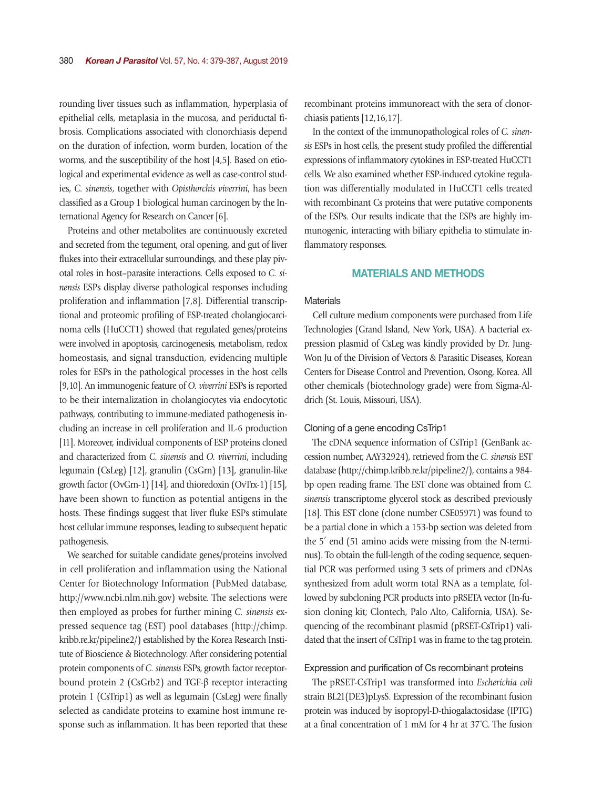rounding liver tissues such as inflammation, hyperplasia of epithelial cells, metaplasia in the mucosa, and periductal fibrosis. Complications associated with clonorchiasis depend on the duration of infection, worm burden, location of the worms, and the susceptibility of the host [4,5]. Based on etiological and experimental evidence as well as case-control studies, *C. sinensis*, together with *Opisthorchis viverrini*, has been classified as a Group 1 biological human carcinogen by the International Agency for Research on Cancer [6].

Proteins and other metabolites are continuously excreted and secreted from the tegument, oral opening, and gut of liver flukes into their extracellular surroundings, and these play pivotal roles in host–parasite interactions. Cells exposed to *C. sinensis* ESPs display diverse pathological responses including proliferation and inflammation [7,8]. Differential transcriptional and proteomic profiling of ESP-treated cholangiocarcinoma cells (HuCCT1) showed that regulated genes/proteins were involved in apoptosis, carcinogenesis, metabolism, redox homeostasis, and signal transduction, evidencing multiple roles for ESPs in the pathological processes in the host cells [9,10]. An immunogenic feature of *O. viverrini* ESPs is reported to be their internalization in cholangiocytes via endocytotic pathways, contributing to immune-mediated pathogenesis including an increase in cell proliferation and IL-6 production [11]. Moreover, individual components of ESP proteins cloned and characterized from *C. sinensis* and *O. viverrini*, including legumain (CsLeg) [12], granulin (CsGrn) [13], granulin-like growth factor (OvGrn-1) [14], and thioredoxin (OvTrx-1) [15], have been shown to function as potential antigens in the hosts. These findings suggest that liver fluke ESPs stimulate host cellular immune responses, leading to subsequent hepatic pathogenesis.

We searched for suitable candidate genes/proteins involved in cell proliferation and inflammation using the National Center for Biotechnology Information (PubMed database, http://www.ncbi.nlm.nih.gov) website. The selections were then employed as probes for further mining *C. sinensis* expressed sequence tag (EST) pool databases (http://chimp. kribb.re.kr/pipeline2/) established by the Korea Research Institute of Bioscience & Biotechnology. After considering potential protein components of *C. sinensis* ESPs, growth factor receptorbound protein 2 (CsGrb2) and TGF-β receptor interacting protein 1 (CsTrip1) as well as legumain (CsLeg) were finally selected as candidate proteins to examine host immune response such as inflammation. It has been reported that these

recombinant proteins immunoreact with the sera of clonorchiasis patients [12,16,17].

In the context of the immunopathological roles of *C. sinensis* ESPs in host cells, the present study profiled the differential expressions of inflammatory cytokines in ESP-treated HuCCT1 cells. We also examined whether ESP-induced cytokine regulation was differentially modulated in HuCCT1 cells treated with recombinant Cs proteins that were putative components of the ESPs. Our results indicate that the ESPs are highly immunogenic, interacting with biliary epithelia to stimulate inflammatory responses.

## MATERIALS AND METHODS

## **Materials**

Cell culture medium components were purchased from Life Technologies (Grand Island, New York, USA). A bacterial expression plasmid of CsLeg was kindly provided by Dr. Jung-Won Ju of the Division of Vectors & Parasitic Diseases, Korean Centers for Disease Control and Prevention, Osong, Korea. All other chemicals (biotechnology grade) were from Sigma-Aldrich (St. Louis, Missouri, USA).

#### Cloning of a gene encoding CsTrip1

The cDNA sequence information of CsTrip1 (GenBank accession number, AAY32924), retrieved from the *C. sinensis* EST database (http://chimp.kribb.re.kr/pipeline2/), contains a 984 bp open reading frame. The EST clone was obtained from *C. sinensis* transcriptome glycerol stock as described previously [18]. This EST clone (clone number CSE05971) was found to be a partial clone in which a 153-bp section was deleted from the 5′ end (51 amino acids were missing from the N-terminus). To obtain the full-length of the coding sequence, sequential PCR was performed using 3 sets of primers and cDNAs synthesized from adult worm total RNA as a template, followed by subcloning PCR products into pRSETA vector (In-fusion cloning kit; Clontech, Palo Alto, California, USA). Sequencing of the recombinant plasmid (pRSET-CsTrip1) validated that the insert of CsTrip1 was in frame to the tag protein.

#### Expression and purification of Cs recombinant proteins

The pRSET-CsTrip1 was transformed into *Escherichia coli* strain BL21(DE3)pLysS. Expression of the recombinant fusion protein was induced by isopropyl-D-thiogalactosidase (IPTG) at a final concentration of 1 mM for 4 hr at 37˚C. The fusion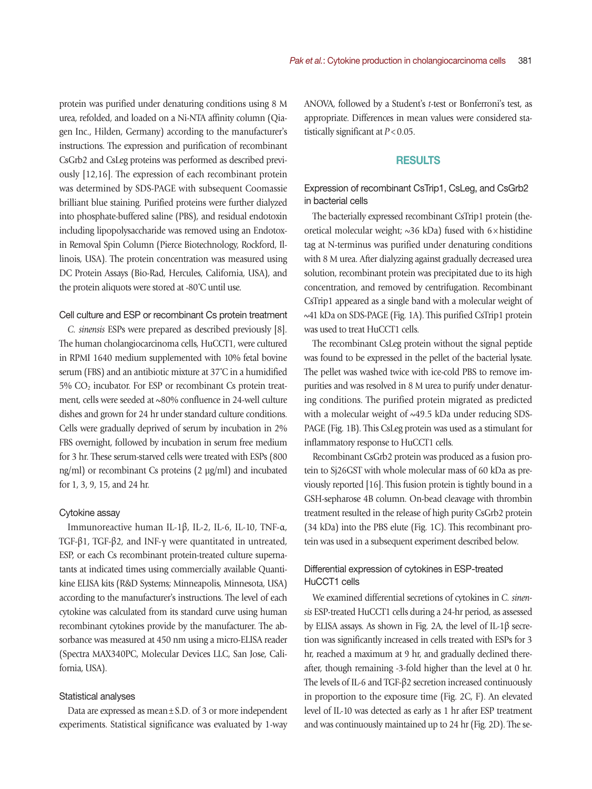protein was purified under denaturing conditions using 8 M urea, refolded, and loaded on a Ni-NTA affinity column (Qiagen Inc., Hilden, Germany) according to the manufacturer's instructions. The expression and purification of recombinant CsGrb2 and CsLeg proteins was performed as described previously [12,16]. The expression of each recombinant protein was determined by SDS-PAGE with subsequent Coomassie brilliant blue staining. Purified proteins were further dialyzed into phosphate-buffered saline (PBS), and residual endotoxin including lipopolysaccharide was removed using an Endotoxin Removal Spin Column (Pierce Biotechnology, Rockford, Illinois, USA). The protein concentration was measured using DC Protein Assays (Bio-Rad, Hercules, California, USA), and the protein aliquots were stored at -80˚C until use.

## Cell culture and ESP or recombinant Cs protein treatment

*C. sinensis* ESPs were prepared as described previously [8]. The human cholangiocarcinoma cells, HuCCT1, were cultured in RPMI 1640 medium supplemented with 10% fetal bovine serum (FBS) and an antibiotic mixture at 37˚C in a humidified 5% CO2 incubator. For ESP or recombinant Cs protein treatment, cells were seeded at ~80% confluence in 24-well culture dishes and grown for 24 hr under standard culture conditions. Cells were gradually deprived of serum by incubation in 2% FBS overnight, followed by incubation in serum free medium for 3 hr. These serum-starved cells were treated with ESPs (800 ng/ml) or recombinant Cs proteins (2 µg/ml) and incubated for 1, 3, 9, 15, and 24 hr.

#### Cytokine assay

Immunoreactive human IL-1β, IL-2, IL-6, IL-10, TNF-α, TGF-β1, TGF-β2, and INF-γ were quantitated in untreated, ESP, or each Cs recombinant protein-treated culture supernatants at indicated times using commercially available Quantikine ELISA kits (R&D Systems; Minneapolis, Minnesota, USA) according to the manufacturer's instructions. The level of each cytokine was calculated from its standard curve using human recombinant cytokines provide by the manufacturer. The absorbance was measured at 450 nm using a micro-ELISA reader (Spectra MAX340PC, Molecular Devices LLC, San Jose, California, USA).

#### Statistical analyses

Data are expressed as mean±S.D. of 3 or more independent experiments. Statistical significance was evaluated by 1-way ANOVA, followed by a Student's *t*-test or Bonferroni's test, as appropriate. Differences in mean values were considered statistically significant at *P* < 0.05.

#### RESULTS

Expression of recombinant CsTrip1, CsLeg, and CsGrb2 in bacterial cells

The bacterially expressed recombinant CsTrip1 protein (theoretical molecular weight;  $\sim$ 36 kDa) fused with 6 $\times$ histidine tag at N-terminus was purified under denaturing conditions with 8 M urea. After dialyzing against gradually decreased urea solution, recombinant protein was precipitated due to its high concentration, and removed by centrifugation. Recombinant CsTrip1 appeared as a single band with a molecular weight of ~41 kDa on SDS-PAGE (Fig. 1A). This purified CsTrip1 protein was used to treat HuCCT1 cells.

The recombinant CsLeg protein without the signal peptide was found to be expressed in the pellet of the bacterial lysate. The pellet was washed twice with ice-cold PBS to remove impurities and was resolved in 8 M urea to purify under denaturing conditions. The purified protein migrated as predicted with a molecular weight of ~49.5 kDa under reducing SDS-PAGE (Fig. 1B). This CsLeg protein was used as a stimulant for inflammatory response to HuCCT1 cells.

Recombinant CsGrb2 protein was produced as a fusion protein to Sj26GST with whole molecular mass of 60 kDa as previously reported [16]. This fusion protein is tightly bound in a GSH-sepharose 4B column. On-bead cleavage with thrombin treatment resulted in the release of high purity CsGrb2 protein (34 kDa) into the PBS elute (Fig. 1C). This recombinant protein was used in a subsequent experiment described below.

# Differential expression of cytokines in ESP-treated HuCCT1 cells

We examined differential secretions of cytokines in *C. sinensis* ESP-treated HuCCT1 cells during a 24-hr period, as assessed by ELISA assays. As shown in Fig. 2A, the level of IL-1β secretion was significantly increased in cells treated with ESPs for 3 hr, reached a maximum at 9 hr, and gradually declined thereafter, though remaining -3-fold higher than the level at 0 hr. The levels of IL-6 and TGF-β2 secretion increased continuously in proportion to the exposure time (Fig. 2C, F). An elevated level of IL-10 was detected as early as 1 hr after ESP treatment and was continuously maintained up to 24 hr (Fig. 2D). The se-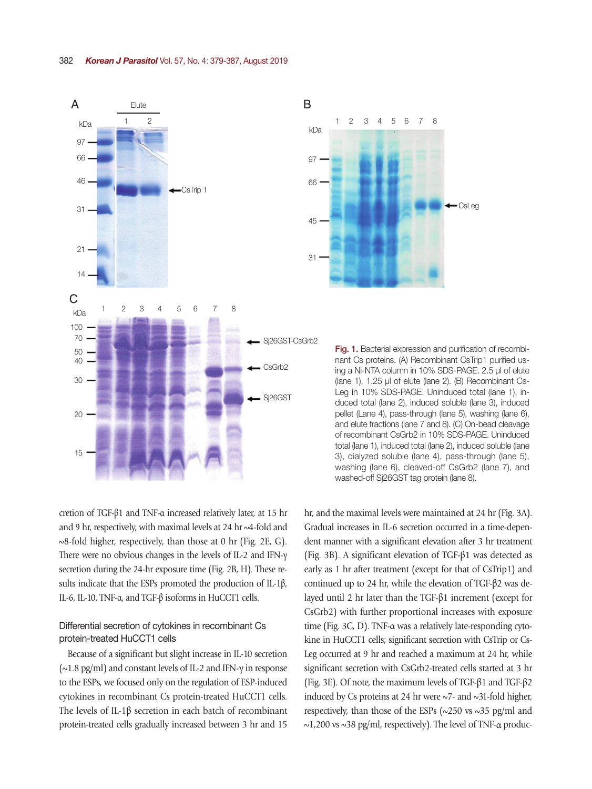



Fig. 1. Bacterial expression and purification of recombinant Cs proteins. (A) Recombinant CsTrip1 purified using a Ni-NTA column in 10% SDS-PAGE. 2.5 µl of elute (lane 1), 1.25 µl of elute (lane 2). (B) Recombinant Cs-Leg in 10% SDS-PAGE. Uninduced total (lane 1), induced total (lane 2), induced soluble (lane 3), induced pellet (Lane 4), pass-through (lane 5), washing (lane 6), and elute fractions (lane 7 and 8). (C) On-bead cleavage of recombinant CsGrb2 in 10% SDS-PAGE. Uninduced total (lane 1), induced total (lane 2), induced soluble (lane 3), dialyzed soluble (lane 4), pass-through (lane 5), washing (lane 6), cleaved-off CsGrb2 (lane 7), and washed-off Sj26GST tag protein (lane 8).

cretion of TGF-β1 and TNF-α increased relatively later, at 15 hr and 9 hr, respectively, with maximal levels at 24 hr ~4-fold and ~8-fold higher, respectively, than those at 0 hr (Fig. 2E, G). There were no obvious changes in the levels of IL-2 and IFN-γ secretion during the 24-hr exposure time (Fig. 2B, H). These results indicate that the ESPs promoted the production of IL-1β, IL-6, IL-10, TNF-α, and TGF-β isoforms in HuCCT1 cells.

# Differential secretion of cytokines in recombinant Cs protein-treated HuCCT1 cells

Because of a significant but slight increase in IL-10 secretion (~1.8 pg/ml) and constant levels of IL-2 and IFN-γ in response to the ESPs, we focused only on the regulation of ESP-induced cytokines in recombinant Cs protein-treated HuCCT1 cells. The levels of IL-1β secretion in each batch of recombinant protein-treated cells gradually increased between 3 hr and 15 hr, and the maximal levels were maintained at 24 hr (Fig. 3A). Gradual increases in IL-6 secretion occurred in a time-dependent manner with a significant elevation after 3 hr treatment (Fig. 3B). A significant elevation of TGF-β1 was detected as early as 1 hr after treatment (except for that of CsTrip1) and continued up to 24 hr, while the elevation of TGF-β2 was delayed until 2 hr later than the TGF-β1 increment (except for CsGrb2) with further proportional increases with exposure time (Fig. 3C, D). TNF-α was a relatively late-responding cytokine in HuCCT1 cells; significant secretion with CsTrip or Cs-Leg occurred at 9 hr and reached a maximum at 24 hr, while significant secretion with CsGrb2-treated cells started at 3 hr (Fig. 3E). Of note, the maximum levels of TGF-β1 and TGF-β2 induced by Cs proteins at 24 hr were  $\sim$ 7- and  $\sim$ 31-fold higher, respectively, than those of the ESPs ( $\sim$ 250 vs  $\sim$ 35 pg/ml and ~1,200 vs ~38 pg/ml, respectively). The level of TNF-α produc-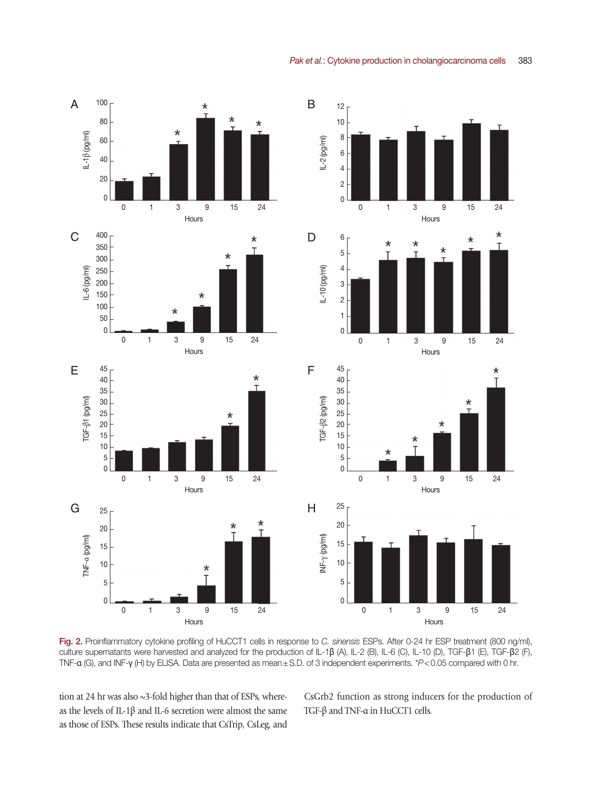

Fig. 2. Proinflammatory cytokine profiling of HuCCT1 cells in response to *C. sinensis* ESPs. After 0-24 hr ESP treatment (800 ng/ml), culture supernatants were harvested and analyzed for the production of IL-1β (A), IL-2 (B), IL-6 (C), IL-10 (D), TGF-β1 (E), TGF-β2 (F), TNF-α (G), and INF-γ (H) by ELISA. Data are presented as mean±S.D. of 3 independent experiments. \**P*<0.05 compared with 0 hr.

tion at 24 hr was also ~3-fold higher than that of ESPs, whereas the levels of IL-1β and IL-6 secretion were almost the same as those of ESPs. These results indicate that CsTrip, CsLeg, and CsGrb2 function as strong inducers for the production of TGF-β and TNF-α in HuCCT1 cells.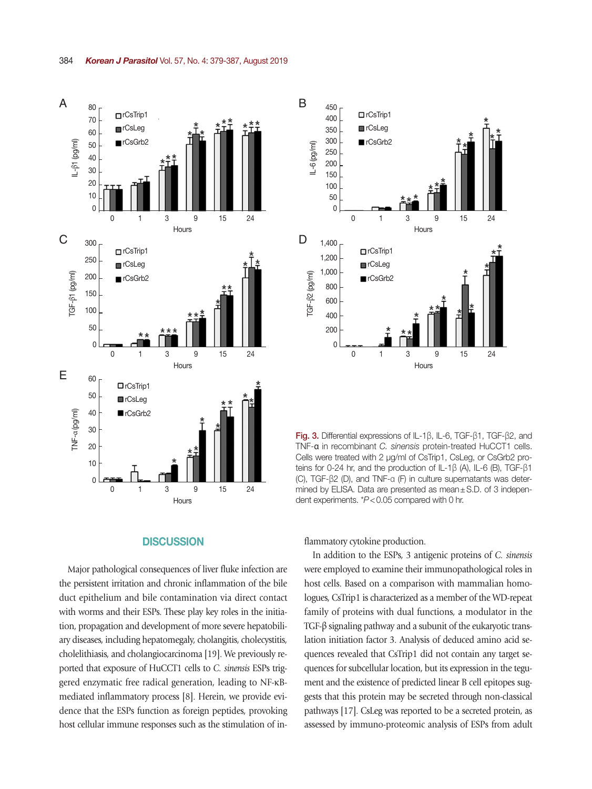

#### **DISCUSSION**

Major pathological consequences of liver fluke infection are the persistent irritation and chronic inflammation of the bile duct epithelium and bile contamination via direct contact with worms and their ESPs. These play key roles in the initiation, propagation and development of more severe hepatobiliary diseases, including hepatomegaly, cholangitis, cholecystitis, cholelithiasis, and cholangiocarcinoma [19]. We previously reported that exposure of HuCCT1 cells to *C. sinensis* ESPs triggered enzymatic free radical generation, leading to NF-κBmediated inflammatory process [8]. Herein, we provide evidence that the ESPs function as foreign peptides, provoking host cellular immune responses such as the stimulation of in-



Fig. 3. Differential expressions of IL-1β, IL-6, TGF-β1, TGF-β2, and TNF-α in recombinant *C. sinensis* protein-treated HuCCT1 cells. Cells were treated with 2 µg/ml of CsTrip1, CsLeg, or CsGrb2 proteins for 0-24 hr, and the production of IL-1β (A), IL-6 (B), TGF-β1 (C), TGF-β2 (D), and TNF-α (F) in culture supernatants was determined by ELISA. Data are presented as mean±S.D. of 3 independent experiments. \**P*<0.05 compared with 0 hr.

flammatory cytokine production.

In addition to the ESPs, 3 antigenic proteins of *C. sinensis* were employed to examine their immunopathological roles in host cells. Based on a comparison with mammalian homologues, CsTrip1 is characterized as a member of the WD-repeat family of proteins with dual functions, a modulator in the TGF-β signaling pathway and a subunit of the eukaryotic translation initiation factor 3. Analysis of deduced amino acid sequences revealed that CsTrip1 did not contain any target sequences for subcellular location, but its expression in the tegument and the existence of predicted linear B cell epitopes suggests that this protein may be secreted through non-classical pathways [17]. CsLeg was reported to be a secreted protein, as assessed by immuno-proteomic analysis of ESPs from adult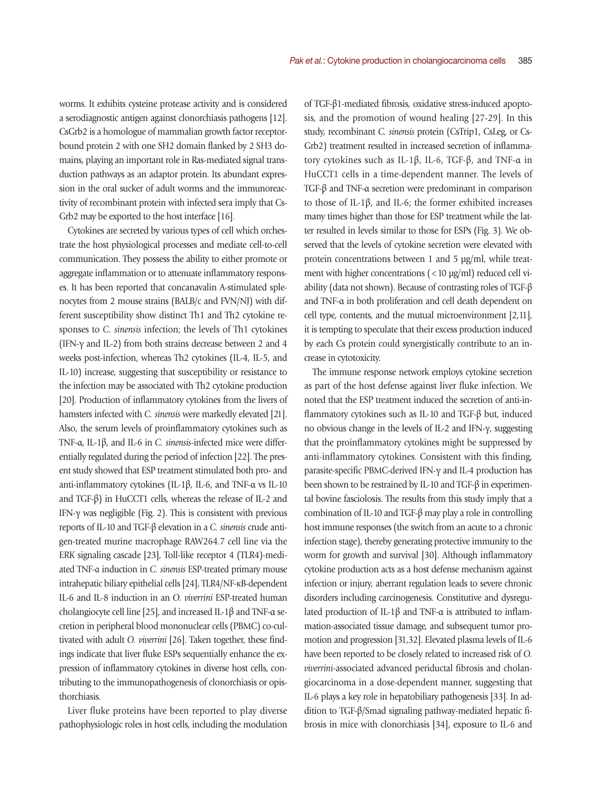worms. It exhibits cysteine protease activity and is considered a serodiagnostic antigen against clonorchiasis pathogens [12]. CsGrb2 is a homologue of mammalian growth factor receptorbound protein 2 with one SH2 domain flanked by 2 SH3 domains, playing an important role in Ras-mediated signal transduction pathways as an adaptor protein. Its abundant expression in the oral sucker of adult worms and the immunoreactivity of recombinant protein with infected sera imply that Cs-Grb2 may be exported to the host interface [16].

Cytokines are secreted by various types of cell which orchestrate the host physiological processes and mediate cell-to-cell communication. They possess the ability to either promote or aggregate inflammation or to attenuate inflammatory responses. It has been reported that concanavalin A-stimulated splenocytes from 2 mouse strains (BALB/c and FVN/NJ) with different susceptibility show distinct Th1 and Th2 cytokine responses to *C. sinensis* infection; the levels of Th1 cytokines (IFN-γ and IL-2) from both strains decrease between 2 and 4 weeks post-infection, whereas Th2 cytokines (IL-4, IL-5, and IL-10) increase, suggesting that susceptibility or resistance to the infection may be associated with Th2 cytokine production [20]. Production of inflammatory cytokines from the livers of hamsters infected with *C. sinensis* were markedly elevated [21]. Also, the serum levels of proinflammatory cytokines such as TNF-α, IL-1β, and IL-6 in *C. sinensis*-infected mice were differentially regulated during the period of infection [22]. The present study showed that ESP treatment stimulated both pro- and anti-inflammatory cytokines (IL-1β, IL-6, and TNF-α vs IL-10 and TGF-β) in HuCCT1 cells, whereas the release of IL-2 and IFN-γ was negligible (Fig. 2). This is consistent with previous reports of IL-10 and TGF-β elevation in a *C. sinensis* crude antigen-treated murine macrophage RAW264.7 cell line via the ERK signaling cascade [23], Toll-like receptor 4 (TLR4)-mediated TNF-α induction in *C. sinensis* ESP-treated primary mouse intrahepatic biliary epithelial cells [24], TLR4/NF-κB-dependent IL-6 and IL-8 induction in an *O. viverrini* ESP-treated human cholangiocyte cell line [25], and increased IL-1β and TNF-α secretion in peripheral blood mononuclear cells (PBMC) co-cultivated with adult *O. viverrini* [26]. Taken together, these findings indicate that liver fluke ESPs sequentially enhance the expression of inflammatory cytokines in diverse host cells, contributing to the immunopathogenesis of clonorchiasis or opisthorchiasis.

Liver fluke proteins have been reported to play diverse pathophysiologic roles in host cells, including the modulation of TGF-β1-mediated fibrosis, oxidative stress-induced apoptosis, and the promotion of wound healing [27-29]. In this study, recombinant *C. sinensis* protein (CsTrip1, CsLeg, or Cs-Grb2) treatment resulted in increased secretion of inflammatory cytokines such as IL-1β, IL-6, TGF-β, and TNF-α in HuCCT1 cells in a time-dependent manner. The levels of TGF-β and TNF-α secretion were predominant in comparison to those of IL-1β, and IL-6; the former exhibited increases many times higher than those for ESP treatment while the latter resulted in levels similar to those for ESPs (Fig. 3). We observed that the levels of cytokine secretion were elevated with protein concentrations between 1 and 5 µg/ml, while treatment with higher concentrations  $(<10 \mu g/ml)$  reduced cell viability (data not shown). Because of contrasting roles of TGF-β and TNF-α in both proliferation and cell death dependent on cell type, contents, and the mutual microenvironment [2,11], it is tempting to speculate that their excess production induced by each Cs protein could synergistically contribute to an increase in cytotoxicity.

The immune response network employs cytokine secretion as part of the host defense against liver fluke infection. We noted that the ESP treatment induced the secretion of anti-inflammatory cytokines such as IL-10 and TGF-β but, induced no obvious change in the levels of IL-2 and IFN-γ, suggesting that the proinflammatory cytokines might be suppressed by anti-inflammatory cytokines. Consistent with this finding, parasite-specific PBMC-derived IFN-γ and IL-4 production has been shown to be restrained by IL-10 and TGF-β in experimental bovine fasciolosis. The results from this study imply that a combination of IL-10 and TGF-β may play a role in controlling host immune responses (the switch from an acute to a chronic infection stage), thereby generating protective immunity to the worm for growth and survival [30]. Although inflammatory cytokine production acts as a host defense mechanism against infection or injury, aberrant regulation leads to severe chronic disorders including carcinogenesis. Constitutive and dysregulated production of IL-1β and TNF- $\alpha$  is attributed to inflammation-associated tissue damage, and subsequent tumor promotion and progression [31,32]. Elevated plasma levels of IL-6 have been reported to be closely related to increased risk of *O. viverrini*-associated advanced periductal fibrosis and cholangiocarcinoma in a dose-dependent manner, suggesting that IL-6 plays a key role in hepatobiliary pathogenesis [33]. In addition to TGF-β/Smad signaling pathway-mediated hepatic fibrosis in mice with clonorchiasis [34], exposure to IL-6 and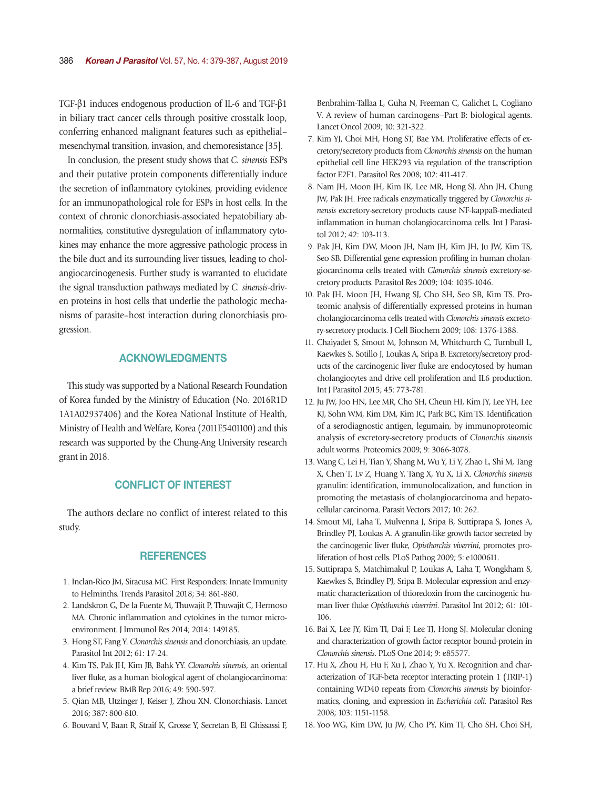TGF-β1 induces endogenous production of IL-6 and TGF-β1 in biliary tract cancer cells through positive crosstalk loop, conferring enhanced malignant features such as epithelial– mesenchymal transition, invasion, and chemoresistance [35].

In conclusion, the present study shows that *C. sinensis* ESPs and their putative protein components differentially induce the secretion of inflammatory cytokines, providing evidence for an immunopathological role for ESPs in host cells. In the context of chronic clonorchiasis-associated hepatobiliary abnormalities, constitutive dysregulation of inflammatory cytokines may enhance the more aggressive pathologic process in the bile duct and its surrounding liver tissues, leading to cholangiocarcinogenesis. Further study is warranted to elucidate the signal transduction pathways mediated by *C. sinensis*-driven proteins in host cells that underlie the pathologic mechanisms of parasite–host interaction during clonorchiasis progression.

# ACKNOWLEDGMENTS

This study was supported by a National Research Foundation of Korea funded by the Ministry of Education (No. 2016R1D 1A1A02937406) and the Korea National Institute of Health, Ministry of Health and Welfare, Korea (2011E5401100) and this research was supported by the Chung-Ang University research grant in 2018.

# CONFLICT OF INTEREST

The authors declare no conflict of interest related to this study.

## **REFERENCES**

- 1. Inclan-Rico JM, Siracusa MC. First Responders: Innate Immunity to Helminths. Trends Parasitol 2018; 34: 861-880.
- 2. Landskron G, De la Fuente M, Thuwajit P, Thuwajit C, Hermoso MA. Chronic inflammation and cytokines in the tumor microenvironment. J Immunol Res 2014; 2014: 149185.
- 3. Hong ST, Fang Y. *Clonorchis sinensis* and clonorchiasis, an update. Parasitol Int 2012; 61: 17-24.
- 4. Kim TS, Pak JH, Kim JB, Bahk YY. *Clonorchis sinensis*, an oriental liver fluke, as a human biological agent of cholangiocarcinoma: a brief review. BMB Rep 2016; 49: 590-597.
- 5. Qian MB, Utzinger J, Keiser J, Zhou XN. Clonorchiasis. Lancet 2016; 387: 800-810.
- 6. Bouvard V, Baan R, Straif K, Grosse Y, Secretan B, El Ghissassi F,

Benbrahim-Tallaa L, Guha N, Freeman C, Galichet L, Cogliano V. A review of human carcinogens--Part B: biological agents. Lancet Oncol 2009; 10: 321-322.

- 7. Kim YJ, Choi MH, Hong ST, Bae YM. Proliferative effects of excretory/secretory products from *Clonorchis sinensis* on the human epithelial cell line HEK293 via regulation of the transcription factor E2F1. Parasitol Res 2008; 102: 411-417.
- 8. Nam JH, Moon JH, Kim IK, Lee MR, Hong SJ, Ahn JH, Chung JW, Pak JH. Free radicals enzymatically triggered by *Clonorchis sinensis* excretory-secretory products cause NF-kappaB-mediated inflammation in human cholangiocarcinoma cells. Int J Parasitol 2012; 42: 103-113.
- 9. Pak JH, Kim DW, Moon JH, Nam JH, Kim JH, Ju JW, Kim TS, Seo SB. Differential gene expression profiling in human cholangiocarcinoma cells treated with *Clonorchis sinensis* excretory-secretory products. Parasitol Res 2009; 104: 1035-1046.
- 10. Pak JH, Moon JH, Hwang SJ, Cho SH, Seo SB, Kim TS. Proteomic analysis of differentially expressed proteins in human cholangiocarcinoma cells treated with *Clonorchis sinensis* excretory-secretory products. J Cell Biochem 2009; 108: 1376-1388.
- 11. Chaiyadet S, Smout M, Johnson M, Whitchurch C, Turnbull L, Kaewkes S, Sotillo J, Loukas A, Sripa B. Excretory/secretory products of the carcinogenic liver fluke are endocytosed by human cholangiocytes and drive cell proliferation and IL6 production. Int J Parasitol 2015; 45: 773-781.
- 12. Ju JW, Joo HN, Lee MR, Cho SH, Cheun HI, Kim JY, Lee YH, Lee KJ, Sohn WM, Kim DM, Kim IC, Park BC, Kim TS. Identification of a serodiagnostic antigen, legumain, by immunoproteomic analysis of excretory-secretory products of *Clonorchis sinensis* adult worms. Proteomics 2009; 9: 3066-3078.
- 13. Wang C, Lei H, Tian Y, Shang M, Wu Y, Li Y, Zhao L, Shi M, Tang X, Chen T, Lv Z, Huang Y, Tang X, Yu X, Li X. *Clonorchis sinensis* granulin: identification, immunolocalization, and function in promoting the metastasis of cholangiocarcinoma and hepatocellular carcinoma. Parasit Vectors 2017; 10: 262.
- 14. Smout MJ, Laha T, Mulvenna J, Sripa B, Suttiprapa S, Jones A, Brindley PJ, Loukas A. A granulin-like growth factor secreted by the carcinogenic liver fluke, *Opisthorchis viverrini*, promotes proliferation of host cells. PLoS Pathog 2009; 5: e1000611.
- 15. Suttiprapa S, Matchimakul P, Loukas A, Laha T, Wongkham S, Kaewkes S, Brindley PJ, Sripa B. Molecular expression and enzymatic characterization of thioredoxin from the carcinogenic human liver fluke *Opisthorchis viverrini*. Parasitol Int 2012; 61: 101- 106.
- 16. Bai X, Lee JY, Kim TI, Dai F, Lee TJ, Hong SJ. Molecular cloning and characterization of growth factor receptor bound-protein in *Clonorchis sinensis*. PLoS One 2014; 9: e85577.
- 17. Hu X, Zhou H, Hu F, Xu J, Zhao Y, Yu X. Recognition and characterization of TGF-beta receptor interacting protein 1 (TRIP-1) containing WD40 repeats from *Clonorchis sinensis* by bioinformatics, cloning, and expression in *Escherichia coli*. Parasitol Res 2008; 103: 1151-1158.
- 18. Yoo WG, Kim DW, Ju JW, Cho PY, Kim TI, Cho SH, Choi SH,